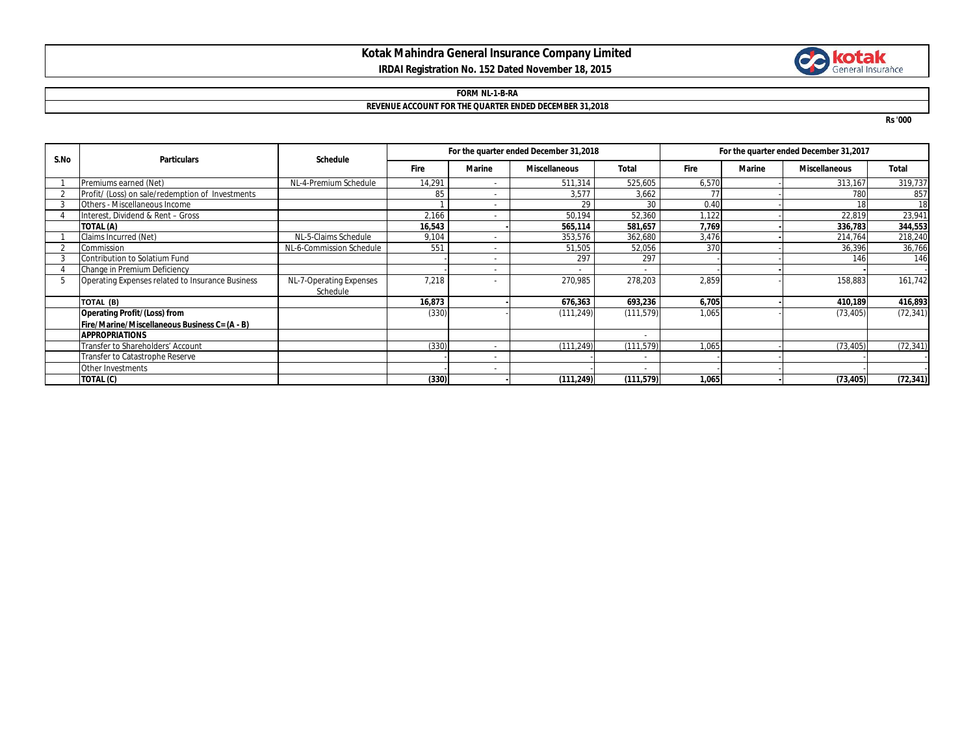# **Kotak Mahindra General Insurance Company Limited IRDAI Registration No. 152 Dated November 18, 2015**

# **Collection**

### **FORM NL-1-B-RA REVENUE ACCOUNT FOR THE QUARTER ENDED DECEMBER 31,2018**

**Rs '000**

| S.No | <b>Particulars</b>                               | <b>Schedule</b>          | For the quarter ended December 31,2018 |                          |                      |              | For the quarter ended December 31,2017 |               |                      |              |
|------|--------------------------------------------------|--------------------------|----------------------------------------|--------------------------|----------------------|--------------|----------------------------------------|---------------|----------------------|--------------|
|      |                                                  |                          | Fire                                   | <b>Marine</b>            | <b>Miscellaneous</b> | <b>Total</b> | Fire                                   | <b>Marine</b> | <b>Miscellaneous</b> | <b>Total</b> |
|      | Premiums earned (Net)                            | NL-4-Premium Schedule    | 14,291                                 | $\overline{a}$           | 511,314              | 525,605      | 6,570                                  |               | 313,167              | 319,737      |
|      | Profit/ (Loss) on sale/redemption of Investments |                          | 85                                     |                          | 3,577                | 3,662        | 77                                     |               | 780                  | 857          |
|      | Others - Miscellaneous Income                    |                          |                                        |                          | 29                   | 30           | 0.40                                   |               |                      | 18           |
|      | Interest, Dividend & Rent - Gross                |                          | 2,166                                  | $\overline{a}$           | 50,194               | 52,360       | 1.122                                  |               | 22,819               | 23,941       |
|      | TOTAL (A)                                        |                          | 16,543                                 |                          | 565,114              | 581,657      | 7,769                                  |               | 336,783              | 344,553      |
|      | Claims Incurred (Net)                            | NL-5-Claims Schedule     | 9,104                                  |                          | 353,576              | 362,680      | 3,476                                  |               | 214,764              | 218,240      |
|      | Commission                                       | NL-6-Commission Schedule | 551                                    | $\overline{\phantom{a}}$ | 51,505               | 52,056       | 370                                    |               | 36,396               | 36,766       |
|      | Contribution to Solatium Fund                    |                          |                                        | $\overline{\phantom{a}}$ | 297                  | 297          |                                        |               | 146                  | 146          |
|      | Change in Premium Deficiency                     |                          |                                        | $\overline{\phantom{0}}$ |                      |              |                                        |               |                      |              |
|      | Operating Expenses related to Insurance Business | NL-7-Operating Expenses  | 7,218                                  |                          | 270,985              | 278,203      | 2,859                                  |               | 158,883              | 161,742      |
|      |                                                  | Schedule                 |                                        |                          |                      |              |                                        |               |                      |              |
|      | TOTAL (B)                                        |                          | 16,873                                 |                          | 676,363              | 693,236      | 6,705                                  |               | 410,189              | 416,893      |
|      | <b>Operating Profit/(Loss) from</b>              |                          | (330)                                  |                          | (111, 249)           | (111, 579)   | 1,065                                  |               | (73, 405)            | (72, 341)    |
|      | Fire/Marine/Miscellaneous Business C= (A - B)    |                          |                                        |                          |                      |              |                                        |               |                      |              |
|      | <b>APPROPRIATIONS</b>                            |                          |                                        |                          |                      |              |                                        |               |                      |              |
|      | Transfer to Shareholders' Account                |                          | (330)                                  |                          | (111, 249)           | (111, 579)   | 1,065                                  |               | (73, 405)            | (72, 341)    |
|      | Transfer to Catastrophe Reserve                  |                          |                                        | $\overline{\phantom{a}}$ |                      |              |                                        |               |                      |              |
|      | Other Investments                                |                          |                                        |                          |                      |              |                                        |               |                      |              |
|      | TOTAL (C)                                        |                          | (330)                                  |                          | (111, 249)           | (111, 579)   | 1,065                                  |               | (73, 405)            | (72, 341)    |